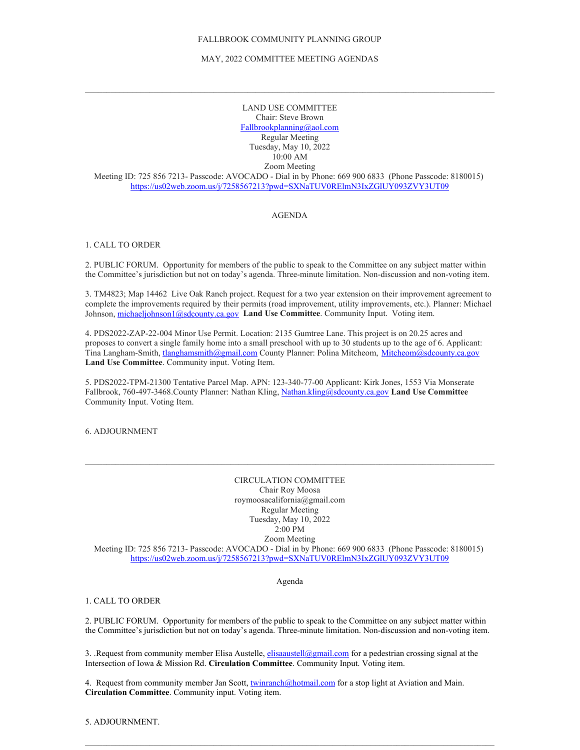### FALLBROOK COMMUNITY PLANNING GROUP

### MAY, 2022 COMMITTEE MEETING AGENDAS

 $\mathcal{L}_\mathcal{L} = \{ \mathcal{L}_\mathcal{L} = \{ \mathcal{L}_\mathcal{L} = \{ \mathcal{L}_\mathcal{L} = \{ \mathcal{L}_\mathcal{L} = \{ \mathcal{L}_\mathcal{L} = \{ \mathcal{L}_\mathcal{L} = \{ \mathcal{L}_\mathcal{L} = \{ \mathcal{L}_\mathcal{L} = \{ \mathcal{L}_\mathcal{L} = \{ \mathcal{L}_\mathcal{L} = \{ \mathcal{L}_\mathcal{L} = \{ \mathcal{L}_\mathcal{L} = \{ \mathcal{L}_\mathcal{L} = \{ \mathcal{L}_\mathcal{$ 

LAND USE COMMITTEE Chair: Steve Brown [Fallbrookplanning@aol.com](mailto:Fallbrookplanning@aol.com) Regular Meeting Tuesday, May 10, 2022 10:00 AM Zoom Meeting

Meeting ID: 725 856 7213- Passcode: AVOCADO - Dial in by Phone: 669 900 6833 (Phone Passcode: 8180015) <https://us02web.zoom.us/j/7258567213?pwd=SXNaTUV0RElmN3IxZGlUY093ZVY3UT09>

# AGENDA

# 1. CALL TO ORDER

2. PUBLIC FORUM. Opportunity for members of the public to speak to the Committee on any subject matter within the Committee's jurisdiction but not on today's agenda. Three-minute limitation. Non-discussion and non-voting item.

3. TM4823; Map 14462 Live Oak Ranch project. Request for a two year extension on their improvement agreement to complete the improvements required by their permits (road improvement, utility improvements, etc.). Planner: Michael Johnson, [michaeljohnson1@sdcounty.ca.gov](mailto:michaeljohnson1@sdcounty.ca.gov) Land Use Committee. Community Input. Voting item.

4. PDS2022-ZAP-22-004 Minor Use Permit. Location: 2135 Gumtree Lane. This project is on 20.25 acres and proposes to convert a single family home into a small preschool with up to 30 students up to the age of 6. Applicant: Tina Langham-Smith[, tlanghamsmith@gmail.com](mailto:tlanghamsmith@gmail.com) County Planner: Polina Mitcheom, [Mitcheom@sdcounty.ca.gov](mailto:Mitcheom@sdcounty.ca.gov) **Land Use Committee**. Community input. Voting Item.

5. PDS2022-TPM-21300 Tentative Parcel Map. APN: 123-340-77-00 Applicant: Kirk Jones, 1553 Via Monserate Fallbrook, 760-497-3468.County Planner: Nathan Kling, [Nathan.kling@sdcounty.ca.gov](mailto:Nathan.kling@sdcounty.ca.gov) **Land Use Committee** Community Input. Voting Item.

6. ADJOURNMENT

CIRCULATION COMMITTEE Chair Roy Moosa roymoosacalifornia@gmail.com Regular Meeting Tuesday, May 10, 2022 2:00 PM Zoom Meeting

Meeting ID: 725 856 7213- Passcode: AVOCADO - Dial in by Phone: 669 900 6833 (Phone Passcode: 8180015) <https://us02web.zoom.us/j/7258567213?pwd=SXNaTUV0RElmN3IxZGlUY093ZVY3UT09>

Agenda

# 1. CALL TO ORDER

2. PUBLIC FORUM. Opportunity for members of the public to speak to the Committee on any subject matter within the Committee's jurisdiction but not on today's agenda. Three-minute limitation. Non-discussion and non-voting item.

3. .Request from community member Elisa Austelle, *elisaaustell@gmail.com* for a pedestrian crossing signal at the Intersection of Iowa & Mission Rd. **Circulation Committee**. Community Input. Voting item.

 $\mathcal{L}_\mathcal{L} = \{ \mathcal{L}_\mathcal{L} = \{ \mathcal{L}_\mathcal{L} = \{ \mathcal{L}_\mathcal{L} = \{ \mathcal{L}_\mathcal{L} = \{ \mathcal{L}_\mathcal{L} = \{ \mathcal{L}_\mathcal{L} = \{ \mathcal{L}_\mathcal{L} = \{ \mathcal{L}_\mathcal{L} = \{ \mathcal{L}_\mathcal{L} = \{ \mathcal{L}_\mathcal{L} = \{ \mathcal{L}_\mathcal{L} = \{ \mathcal{L}_\mathcal{L} = \{ \mathcal{L}_\mathcal{L} = \{ \mathcal{L}_\mathcal{$ 

4. Request from community member Jan Scott[, twinranch@hotmail.com](mailto:twinranch@hotmail.com) for a stop light at Aviation and Main. **Circulation Committee**. Community input. Voting item.

5. ADJOURNMENT.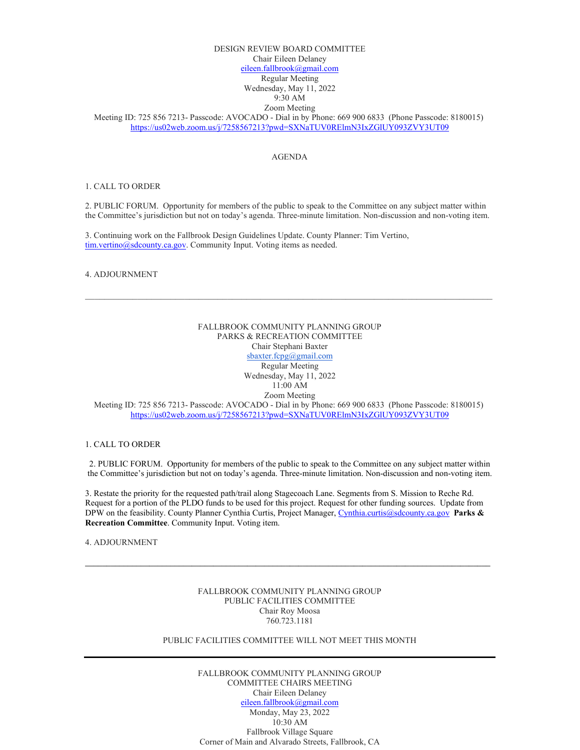# DESIGN REVIEW BOARD COMMITTEE Chair Eileen Delaney [eileen.fallbrook@gmail.com](mailto:eileen.fallbrook@gmail.com) Regular Meeting Wednesday, May 11, 2022 9:30 AM

# Zoom Meeting

Meeting ID: 725 856 7213- Passcode: AVOCADO - Dial in by Phone: 669 900 6833 (Phone Passcode: 8180015) <https://us02web.zoom.us/j/7258567213?pwd=SXNaTUV0RElmN3IxZGlUY093ZVY3UT09>

#### AGENDA

### 1. CALL TO ORDER

2. PUBLIC FORUM. Opportunity for members of the public to speak to the Committee on any subject matter within the Committee's jurisdiction but not on today's agenda. Three-minute limitation. Non-discussion and non-voting item.

3. Continuing work on the Fallbrook Design Guidelines Update. County Planner: Tim Vertino, [tim.vertino@sdcounty.ca.gov.](mailto:tim.vertino@sdcounty.ca.gov) Community Input. Voting items as needed.

### 4. ADJOURNMENT

# FALLBROOK COMMUNITY PLANNING GROUP PARKS & RECREATION COMMITTEE Chair Stephani Baxter [sbaxter.fcpg@gmail.com](mailto:sbaxter.fcpg@gmail.com) Regular Meeting Wednesday, May 11, 2022 11:00 AM Zoom Meeting Meeting ID: 725 856 7213- Passcode: AVOCADO - Dial in by Phone: 669 900 6833 (Phone Passcode: 8180015) <https://us02web.zoom.us/j/7258567213?pwd=SXNaTUV0RElmN3IxZGlUY093ZVY3UT09>

 $\mathcal{L}_\mathcal{L} = \{ \mathcal{L}_\mathcal{L} = \{ \mathcal{L}_\mathcal{L} = \{ \mathcal{L}_\mathcal{L} = \{ \mathcal{L}_\mathcal{L} = \{ \mathcal{L}_\mathcal{L} = \{ \mathcal{L}_\mathcal{L} = \{ \mathcal{L}_\mathcal{L} = \{ \mathcal{L}_\mathcal{L} = \{ \mathcal{L}_\mathcal{L} = \{ \mathcal{L}_\mathcal{L} = \{ \mathcal{L}_\mathcal{L} = \{ \mathcal{L}_\mathcal{L} = \{ \mathcal{L}_\mathcal{L} = \{ \mathcal{L}_\mathcal{$ 

### 1. CALL TO ORDER

2. PUBLIC FORUM. Opportunity for members of the public to speak to the Committee on any subject matter within the Committee's jurisdiction but not on today's agenda. Three-minute limitation. Non-discussion and non-voting item.

3. Restate the priority for the requested path/trail along Stagecoach Lane. Segments from S. Mission to Reche Rd. Request for a portion of the PLDO funds to be used for this project. Request for other funding sources. Update from DPW on the feasibility. County Planner Cynthia Curtis, Project Manager, [Cynthia.curtis@sdcounty.ca.gov](mailto:Cynthia.curtis@sdcounty.ca.gov) **Parks & Recreation Committee**. Community Input. Voting item.

4. ADJOURNMENT

# FALLBROOK COMMUNITY PLANNING GROUP PUBLIC FACILITIES COMMITTEE Chair Roy Moosa 760.723.1181

**\_\_\_\_\_\_\_\_\_\_\_\_\_\_\_\_\_\_\_\_\_\_\_\_\_\_\_\_\_\_\_\_\_\_\_\_\_\_\_\_\_\_\_\_\_\_\_\_\_\_\_\_\_\_\_\_\_\_\_\_\_\_\_\_\_\_\_\_\_\_\_\_\_\_\_\_\_\_\_\_\_\_\_\_\_\_\_\_\_\_\_\_\_\_\_**

# PUBLIC FACILITIES COMMITTEE WILL NOT MEET THIS MONTH

FALLBROOK COMMUNITY PLANNING GROUP COMMITTEE CHAIRS MEETING Chair Eileen Delaney [eileen.fallbrook@gmail.com](mailto:eileen.fallbrook@gmail.com) Monday, May 23, 2022 10:30 AM Fallbrook Village Square Corner of Main and Alvarado Streets, Fallbrook, CA